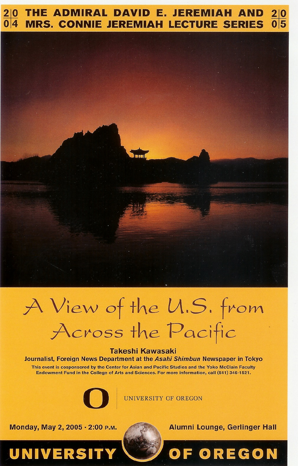#### THE ADMIRAL DAVID E. JEREMIAH AND  $2|0$  $\overline{0}$  5 **MRS. CONNIE JEREMIAH LECTURE SERIES**



# A View of the U.S. from Across the Pacific

#### **Takeshi Kawasaki**

Journalist, Foreign News Department at the Asahi Shimbun Newspaper in Tokyo

This event is cosponsored by the Center for Asian and Pacific Studies and the Yoko McClain Faculty Endowment Fund in the College of Arts and Sciences. For more information, call (541) 346-1521.



UNIVERSITY OF OREGON

Monday, May 2, 2005 · 2:00 P.M.

UNIVERSIT



**Alumni Lounge, Gerlinger Hall** 

**FOREGON**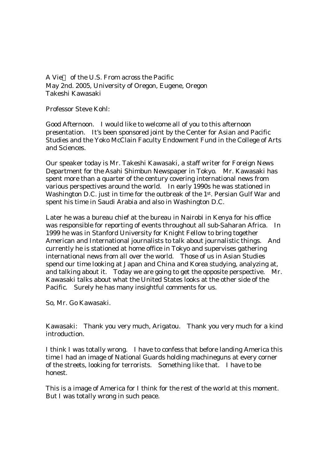A Vie of the U.S. From across the Pacific May 2nd. 2005, University of Oregon, Eugene, Oregon Takeshi Kawasaki

Professor Steve Kohl:

Good Afternoon. I would like to welcome all of you to this afternoon presentation. It's been sponsored joint by the Center for Asian and Pacific Studies and the Yoko McClain Faculty Endowment Fund in the College of Arts and Sciences.

Our speaker today is Mr. Takeshi Kawasaki, a staff writer for Foreign News Department for the Asahi Shimbun Newspaper in Tokyo. Mr. Kawasaki has spent more than a quarter of the century covering international news from various perspectives around the world. In early 1990s he was stationed in Washington D.C. just in time for the outbreak of the 1st. Persian Gulf War and spent his time in Saudi Arabia and also in Washington D.C.

Later he was a bureau chief at the bureau in Nairobi in Kenya for his office was responsible for reporting of events throughout all sub-Saharan Africa. In 1999 he was in Stanford University for Knight Fellow to bring together American and International journalists to talk about journalistic things. And currently he is stationed at home office in Tokyo and supervises gathering international news from all over the world. Those of us in Asian Studies spend our time looking at Japan and China and Korea studying, analyzing at, and talking about it. Today we are going to get the opposite perspective. Mr. Kawasaki talks about what the United States looks at the other side of the Pacific. Surely he has many insightful comments for us.

So, Mr. Go Kawasaki.

Kawasaki: Thank you very much, Arigatou. Thank you very much for a kind introduction.

I think I was totally wrong. I have to confess that before landing America this time I had an image of National Guards holding machineguns at every corner of the streets, looking for terrorists. Something like that. I have to be honest.

This is a image of America for I think for the rest of the world at this moment. But I was totally wrong in such peace.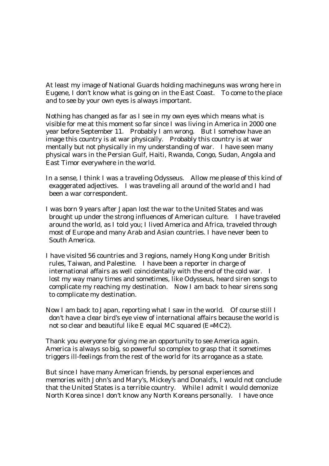At least my image of National Guards holding machineguns was wrong here in Eugene, I don't know what is going on in the East Coast. To come to the place and to see by your own eyes is always important.

Nothing has changed as far as I see in my own eyes which means what is visible for me at this moment so far since I was living in America in 2000 one year before September 11. Probably I am wrong. But I somehow have an image this country is at war physically. Probably this country is at war mentally but not physically in my understanding of war. I have seen many physical wars in the Persian Gulf, Haiti, Rwanda, Congo, Sudan, Angola and East Timor everywhere in the world.

- In a sense, I think I was a traveling Odysseus. Allow me please of this kind of exaggerated adjectives. I was traveling all around of the world and I had been a war correspondent.
- I was born 9 years after Japan lost the war to the United States and was brought up under the strong influences of American culture. I have traveled around the world, as I told you; I lived America and Africa, traveled through most of Europe and many Arab and Asian countries. I have never been to South America.
- I have visited 56 countries and 3 regions, namely Hong Kong under British rules, Taiwan, and Palestine. I have been a reporter in charge of international affairs as well coincidentally with the end of the cold war. I lost my way many times and sometimes, like Odysseus, heard siren songs to complicate my reaching my destination. Now I am back to hear sirens song to complicate my destination.
- Now I am back to Japan, reporting what I saw in the world. Of course still I don't have a clear bird's eye view of international affairs because the world is not so clear and beautiful like E equal MC squared (E=MC2).

Thank you everyone for giving me an opportunity to see America again. America is always so big, so powerful so complex to grasp that it sometimes triggers ill-feelings from the rest of the world for its arrogance as a state.

But since I have many American friends, by personal experiences and memories with John's and Mary's, Mickey's and Donald's, I would not conclude that the United States is a terrible country. While I admit I would demonize North Korea since I don't know any North Koreans personally. I have once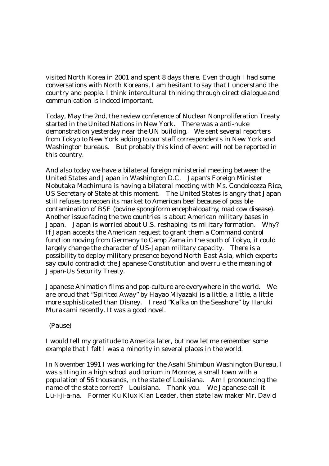visited North Korea in 2001 and spent 8 days there. Even though I had some conversations with North Koreans, I am hesitant to say that I understand the country and people. I think intercultural thinking through direct dialogue and communication is indeed important.

Today, May the 2nd, the review conference of Nuclear Nonproliferation Treaty started in the United Nations in New York. There was a anti-nuke demonstration yesterday near the UN building. We sent several reporters from Tokyo to New York adding to our staff correspondents in New York and Washington bureaus. But probably this kind of event will not be reported in this country.

And also today we have a bilateral foreign ministerial meeting between the United States and Japan in Washington D.C. Japan's Foreign Minister Nobutaka Machimura is having a bilateral meeting with Ms. Condoleezza Rice, US Secretary of State at this moment. The United States is angry that Japan still refuses to reopen its market to American beef because of possible contamination of BSE (bovine spongiform encephalopathy, mad cow disease). Another issue facing the two countries is about American military bases in Japan. Japan is worried about U.S. reshaping its military formation. Why? If Japan accepts the American request to grant them a Command control function moving from Germany to Camp Zama in the south of Tokyo, it could largely change the character of US-Japan military capacity. There is a possibility to deploy military presence beyond North East Asia, which experts say could contradict the Japanese Constitution and overrule the meaning of Japan-Us Security Treaty.

Japanese Animation films and pop-culture are everywhere in the world. We are proud that "Spirited Away" by Hayao Miyazaki is a little, a little, a little more sophisticated than Disney. I read "Kafka on the Seashore" by Haruki Murakami recently. It was a good novel.

(Pause)

I would tell my gratitude to America later, but now let me remember some example that I felt I was a minority in several places in the world.

In November 1991 I was working for the Asahi Shimbun Washington Bureau, I was sitting in a high school auditorium in Monroe, a small town with a population of 56 thousands, in the state of Louisiana. Am I pronouncing the name of the state correct? Louisiana. Thank you. We Japanese call it Lu-i-ji-a-na. Former Ku Klux Klan Leader, then state law maker Mr. David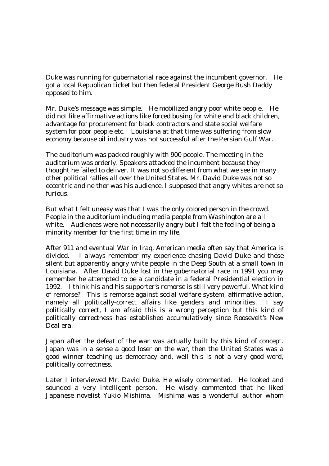Duke was running for gubernatorial race against the incumbent governor. He got a local Republican ticket but then federal President George Bush Daddy opposed to him.

Mr. Duke's message was simple. He mobilized angry poor white people. He did not like affirmative actions like forced busing for white and black children, advantage for procurement for black contractors and state social welfare system for poor people etc. Louisiana at that time was suffering from slow economy because oil industry was not successful after the Persian Gulf War.

The auditorium was packed roughly with 900 people. The meeting in the auditorium was orderly. Speakers attacked the incumbent because they thought he failed to deliver. It was not so different from what we see in many other political rallies all over the United States. Mr. David Duke was not so eccentric and neither was his audience. I supposed that angry whites are not so furious.

But what I felt uneasy was that I was the only colored person in the crowd. People in the auditorium including media people from Washington are all white. Audiences were not necessarily angry but I felt the feeling of being a minority member for the first time in my life.

After 911 and eventual War in Iraq, American media often say that America is divided. I always remember my experience chasing David Duke and those silent but apparently angry white people in the Deep South at a small town in Louisiana. After David Duke lost in the gubernatorial race in 1991 you may remember he attempted to be a candidate in a federal Presidential election in 1992. I think his and his supporter's remorse is still very powerful. What kind of remorse? This is remorse against social welfare system, affirmative action, namely all politically-correct affairs like genders and minorities. I say politically correct, I am afraid this is a wrong perception but this kind of politically correctness has established accumulatively since Roosevelt's New Deal era.

Japan after the defeat of the war was actually built by this kind of concept. Japan was in a sense a good loser on the war, then the United States was a good winner teaching us democracy and, well this is not a very good word, politically correctness.

Later I interviewed Mr. David Duke. He wisely commented. He looked and sounded a very intelligent person. He wisely commented that he liked Japanese novelist Yukio Mishima. Mishima was a wonderful author whom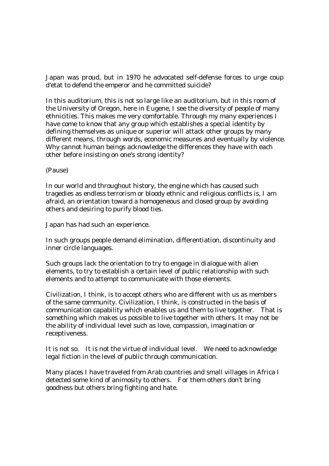Japan was proud, but in 1970 he advocated self-defense forces to urge coup d'etat to defend the emperor and he committed suicide?

In this auditorium, this is not so large like an auditorium, but in this room of the University of Oregon, here in Eugene, I see the diversity of people of many ethnicities. This makes me very comfortable. Through my many experiences I have come to know that any group which establishes a special identity by defining themselves as unique or superior will attack other groups by many different means, through words, economic measures and eventually by violence. Why cannot human beings acknowledge the differences they have with each other before insisting on one's strong identity?

(Pause)

In our world and throughout history, the engine which has caused such tragedies as endless terrorism or bloody ethnic and religious conflicts is, I am afraid, an orientation toward a homogeneous and closed group by avoiding others and desiring to purify blood ties.

Japan has had such an experience.

In such groups people demand elimination, differentiation, discontinuity and inner circle languages.

Such groups lack the orientation to try to engage in dialogue with alien elements, to try to establish a certain level of public relationship with such elements and to attempt to communicate with those elements.

Civilization, I think, is to accept others who are different with us as members of the same community. Civilization, I think, is constructed in the basis of communication capability which enables us and them to live together. That is something which makes us possible to live together with others. It may not be the ability of individual level such as love, compassion, imagination or receptiveness.

It is not so. It is not the virtue of individual level. We need to acknowledge legal fiction in the level of public through communication.

Many places I have traveled from Arab countries and small villages in Africa I detected some kind of animosity to others. For them others don't bring goodness but others bring fighting and hate.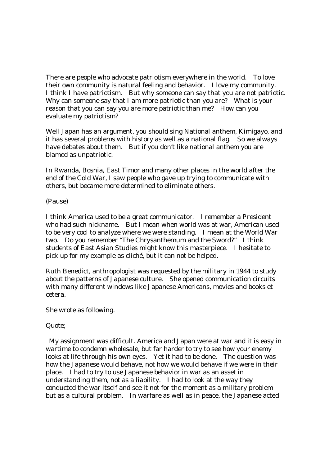There are people who advocate patriotism everywhere in the world. To love their own community is natural feeling and behavior. I love my community. I think I have patriotism. But why someone can say that you are not patriotic. Why can someone say that I am more patriotic than you are? What is your reason that you can say you are more patriotic than me? How can you evaluate my patriotism?

Well Japan has an argument, you should sing National anthem, Kimigayo, and it has several problems with history as well as a national flag. So we always have debates about them. But if you don't like national anthem you are blamed as unpatriotic.

In Rwanda, Bosnia, East Timor and many other places in the world after the end of the Cold War, I saw people who gave up trying to communicate with others, but became more determined to eliminate others.

(Pause)

I think America used to be a great communicator. I remember a President who had such nickname. But I mean when world was at war, American used to be very cool to analyze where we were standing. I mean at the World War two. Do you remember "The Chrysanthemum and the Sword?" I think students of East Asian Studies might know this masterpiece. I hesitate to pick up for my example as cliché, but it can not be helped.

Ruth Benedict, anthropologist was requested by the military in 1944 to study about the patterns of Japanese culture. She opened communication circuits with many different windows like Japanese Americans, movies and books et cetera.

She wrote as following.

Quote;

 My assignment was difficult. America and Japan were at war and it is easy in wartime to condemn wholesale, but far harder to try to see how your enemy looks at life through his own eyes. Yet it had to be done. The question was how the Japanese would behave, not how we would behave if we were in their place. I had to try to use Japanese behavior in war as an asset in understanding them, not as a liability. I had to look at the way they conducted the war itself and see it not for the moment as a military problem but as a cultural problem. In warfare as well as in peace, the Japanese acted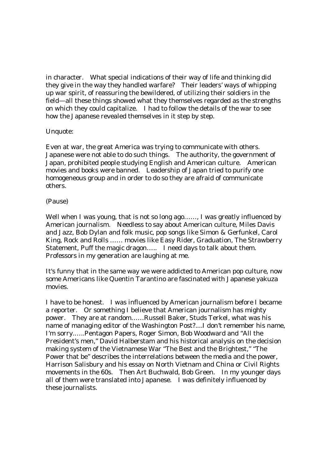in character. What special indications of their way of life and thinking did they give in the way they handled warfare? Their leaders' ways of whipping up war spirit, of reassuring the bewildered, of utilizing their soldiers in the field—all these things showed what they themselves regarded as the strengths on which they could capitalize. I had to follow the details of the war to see how the Japanese revealed themselves in it step by step.

## Unquote:

Even at war, the great America was trying to communicate with others. Japanese were not able to do such things. The authority, the government of Japan, prohibited people studying English and American culture. American movies and books were banned. Leadership of Japan tried to purify one homogeneous group and in order to do so they are afraid of communicate others.

## (Pause)

Well when I was young, that is not so long ago......, I was greatly influenced by American journalism. Needless to say about American culture, Miles Davis and Jazz, Bob Dylan and folk music, pop songs like Simon & Gerfunkel, Carol King, Rock and Rolls …… movies like Easy Rider, Graduation, The Strawberry Statement, Puff the magic dragon….. I need days to talk about them. Professors in my generation are laughing at me.

It's funny that in the same way we were addicted to American pop culture, now some Americans like Quentin Tarantino are fascinated with Japanese yakuza movies.

I have to be honest. I was influenced by American journalism before I became a reporter. Or something I believe that American journalism has mighty power. They are at random……Russell Baker, Studs Terkel, what was his name of managing editor of the Washington Post?....I don't remember his name, I'm sorry.…..Pentagon Papers, Roger Simon, Bob Woodward and "All the President's men," David Halberstam and his historical analysis on the decision making system of the Vietnamese War "The Best and the Brightest," "The Power that be" describes the interrelations between the media and the power, Harrison Salisbury and his essay on North Vietnam and China or Civil Rights movements in the 60s. Then Art Buchwald, Bob Green. In my younger days all of them were translated into Japanese. I was definitely influenced by these journalists.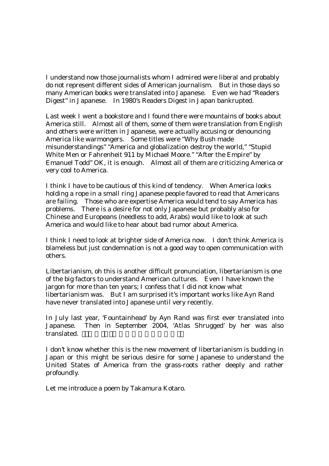I understand now those journalists whom I admired were liberal and probably do not represent different sides of American journalism. But in those days so many American books were translated into Japanese. Even we had "Readers Digest" in Japanese. In 1980's Readers Digest in Japan bankrupted.

Last week I went a bookstore and I found there were mountains of books about America still. Almost all of them, some of them were translation from English and others were written in Japanese, were actually accusing or denouncing America like warmongers. Some titles were "Why Bush made misunderstandings" "America and globalization destroy the world," "Stupid White Men or Fahrenheit 911 by Michael Moore." "After the Empire" by Emanuel Todd" OK, it is enough. Almost all of them are criticizing America or very cool to America.

I think I have to be cautious of this kind of tendency. When America looks holding a rope in a small ring Japanese people favored to read that Americans are failing. Those who are expertise America would tend to say America has problems. There is a desire for not only Japanese but probably also for Chinese and Europeans (needless to add, Arabs) would like to look at such America and would like to hear about bad rumor about America.

I think I need to look at brighter side of America now. I don't think America is blameless but just condemnation is not a good way to open communication with others.

Libertarianism, oh this is another difficult pronunciation, libertarianism is one of the big factors to understand American cultures. Even I have known the jargon for more than ten years; I confess that I did not know what libertarianism was. But I am surprised it's important works like Ayn Rand have never translated into Japanese until very recently.

In July last year, 'Fountainhead' by Ayn Rand was first ever translated into Japanese. Then in September 2004, 'Atlas Shrugged' by her was also translated.

I don't know whether this is the new movement of libertarianism is budding in Japan or this might be serious desire for some Japanese to understand the United States of America from the grass-roots rather deeply and rather profoundly.

Let me introduce a poem by Takamura Kotaro.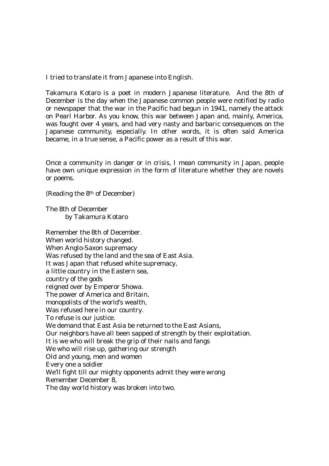I tried to translate it from Japanese into English.

Takamura Kotaro is a poet in modern Japanese literature. And the 8th of December is the day when the Japanese common people were notified by radio or newspaper that the war in the Pacific had begun in 1941, namely the attack on Pearl Harbor. As you know, this war between Japan and, mainly, America, was fought over 4 years, and had very nasty and barbaric consequences on the Japanese community, especially. In other words, it is often said America became, in a true sense, a Pacific power as a result of this war.

Once a community in danger or in crisis, I mean community in Japan, people have own unique expression in the form of literature whether they are novels or poems.

(Reading the 8th of December)

The 8th of December by Takamura Kotaro

Remember the 8th of December. When world history changed. When Anglo-Saxon supremacy Was refused by the land and the sea of East Asia. It was Japan that refused white supremacy, a little country in the Eastern sea, country of the gods reigned over by Emperor Showa. The power of America and Britain, monopolists of the world's wealth, Was refused here in our country. To refuse is our justice. We demand that East Asia be returned to the East Asians, Our neighbors have all been sapped of strength by their exploitation. It is we who will break the grip of their nails and fangs We who will rise up, gathering our strength Old and young, men and women Every one a soldier We'll fight till our mighty opponents admit they were wrong Remember December 8, The day world history was broken into two.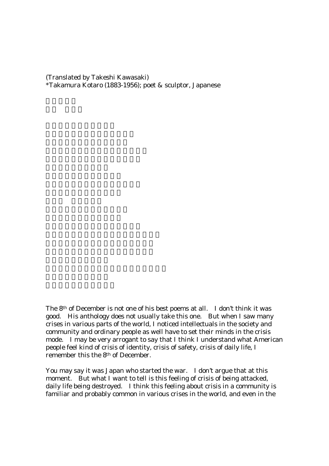(Translated by Takeshi Kawasaki) \*Takamura Kotaro (1883-1956); poet & sculptor, Japanese

The 8th of December is not one of his best poems at all. I don't think it was good. His anthology does not usually take this one. But when I saw many crises in various parts of the world, I noticed intellectuals in the society and community and ordinary people as well have to set their minds in the crisis mode. I may be very arrogant to say that I think I understand what American people feel kind of crisis of identity, crisis of safety, crisis of daily life, I remember this the 8th of December.

You may say it was Japan who started the war. I don't argue that at this moment. But what I want to tell is this feeling of crisis of being attacked, daily life being destroyed. I think this feeling about crisis in a community is familiar and probably common in various crises in the world, and even in the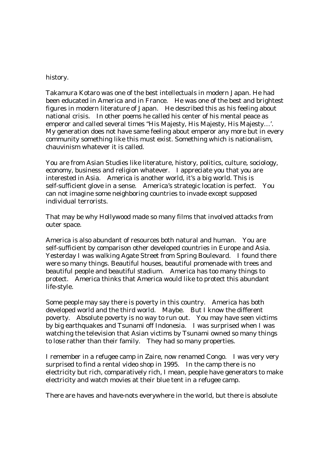#### history.

Takamura Kotaro was one of the best intellectuals in modern Japan. He had been educated in America and in France. He was one of the best and brightest figures in modern literature of Japan. He described this as his feeling about national crisis. In other poems he called his center of his mental peace as emperor and called several times "His Majesty, His Majesty, His Majesty…'. My generation does not have same feeling about emperor any more but in every community something like this must exist. Something which is nationalism, chauvinism whatever it is called.

You are from Asian Studies like literature, history, politics, culture, sociology, economy, business and religion whatever. I appreciate you that you are interested in Asia. America is another world, it's a big world. This is self-sufficient glove in a sense. America's strategic location is perfect. You can not imagine some neighboring countries to invade except supposed individual terrorists.

That may be why Hollywood made so many films that involved attacks from outer space.

America is also abundant of resources both natural and human. You are self-sufficient by comparison other developed countries in Europe and Asia. Yesterday I was walking Agate Street from Spring Boulevard. I found there were so many things. Beautiful houses, beautiful promenade with trees and beautiful people and beautiful stadium. America has too many things to protect. America thinks that America would like to protect this abundant life-style.

Some people may say there is poverty in this country. America has both developed world and the third world. Maybe. But I know the different poverty. Absolute poverty is no way to run out. You may have seen victims by big earthquakes and Tsunami off Indonesia. I was surprised when I was watching the television that Asian victims by Tsunami owned so many things to lose rather than their family. They had so many properties.

I remember in a refugee camp in Zaire, now renamed Congo. I was very very surprised to find a rental video shop in 1995. In the camp there is no electricity but rich, comparatively rich, I mean, people have generators to make electricity and watch movies at their blue tent in a refugee camp.

There are haves and have-nots everywhere in the world, but there is absolute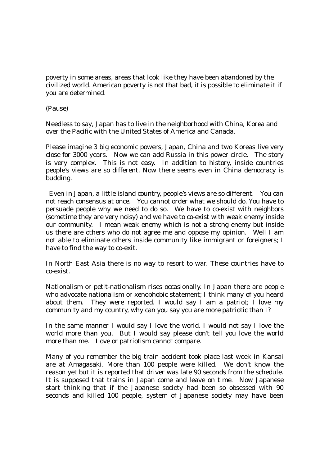poverty in some areas, areas that look like they have been abandoned by the civilized world. American poverty is not that bad, it is possible to eliminate it if you are determined.

(Pause)

Needless to say, Japan has to live in the neighborhood with China, Korea and over the Pacific with the United States of America and Canada.

Please imagine 3 big economic powers, Japan, China and two Koreas live very close for 3000 years. Now we can add Russia in this power circle. The story is very complex. This is not easy. In addition to history, inside countries people's views are so different. Now there seems even in China democracy is budding.

 Even in Japan, a little island country, people's views are so different. You can not reach consensus at once. You cannot order what we should do. You have to persuade people why we need to do so. We have to co-exist with neighbors (sometime they are very noisy) and we have to co-exist with weak enemy inside our community. I mean weak enemy which is not a strong enemy but inside us there are others who do not agree me and oppose my opinion. Well I am not able to eliminate others inside community like immigrant or foreigners; I have to find the way to co-exit.

In North East Asia there is no way to resort to war. These countries have to co-exist.

Nationalism or petit-nationalism rises occasionally. In Japan there are people who advocate nationalism or xenophobic statement; I think many of you heard about them. They were reported. I would say I am a patriot; I love my community and my country, why can you say you are more patriotic than I?

In the same manner I would say I love the world. I would not say I love the world more than you. But I would say please don't tell you love the world more than me. Love or patriotism cannot compare.

Many of you remember the big train accident took place last week in Kansai are at Amagasaki. More than 100 people were killed. We don't know the reason yet but it is reported that driver was late 90 seconds from the schedule. It is supposed that trains in Japan come and leave on time. Now Japanese start thinking that if the Japanese society had been so obsessed with 90 seconds and killed 100 people, system of Japanese society may have been